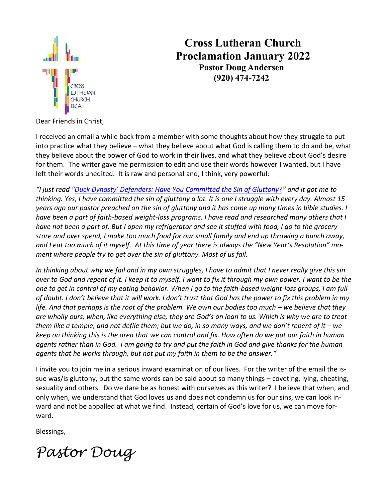

# **Cross Lutheran Church Proclamation January 2022 Pastor Doug Andersen (920) 474-7242**

Dear Friends in Christ,

I received an email a while back from a member with some thoughts about how they struggle to put into practice what they believe – what they believe about what God is calling them to do and be, what they believe about the power of God to work in their lives, and what they believe about God's desire for them. The writer gave me permission to edit and use their words however I wanted, but I have left their words unedited. It is raw and personal and, I think, very powerful:

*"I just read ["Duck Dynasty' Defenders: Have You Committed the Sin of Gluttony?"](http://www.thewrap.com/duck-dynasty-defenders-committed-sin-gluttony-opinion/) and it got me to thinking. Yes, I have committed the sin of gluttony a lot. It is one I struggle with every day. Almost 15 years ago our pastor preached on the sin of gluttony and it has come up many times in bible studies. I have been a part of faith-based weight-loss programs. I have read and researched many others that I have not been a part of. But I open my refrigerator and see it stuffed with food, I go to the grocery store and over spend, I make too much food for our small family and end up throwing a bunch away, and I eat too much of it myself. At this time of year there is always the "New Year's Resolution" moment where people try to get over the sin of gluttony. Most of us fail.* 

*In thinking about why we fail and in my own struggles, I have to admit that I never really give this sin over to God and repent of it. I keep it to myself. I want to fix it through my own power. I want to be the one to get in control of my eating behavior. When I go to the faith-based weight-loss groups, I am full of doubt. I don't believe that it will work. I don't trust that God has the power to fix this problem in my life. And that perhaps is the root of the problem. We own our bodies too much – we believe that they are wholly ours, when, like everything else, they are God's on loan to us. Which is why we are to treat them like a temple, and not defile them; but we do, in so many ways, and we don't repent of it – we keep on thinking this is the area that we can control and fix. How often do we put our faith in human agents rather than in God. I am going to try and put the faith in God and give thanks for the human agents that he works through, but not put my faith in them to be the answer."*

I invite you to join me in a serious inward examination of our lives. For the writer of the email the issue was/is gluttony, but the same words can be said about so many things – coveting, lying, cheating, sexuality and others. Do we dare be as honest with ourselves as this writer? I believe that when, and only when, we understand that God loves us and does not condemn us for our sins, we can look inward and not be appalled at what we find. Instead, certain of God's love for us, we can move forward.

Blessings,

*Pastor Doug*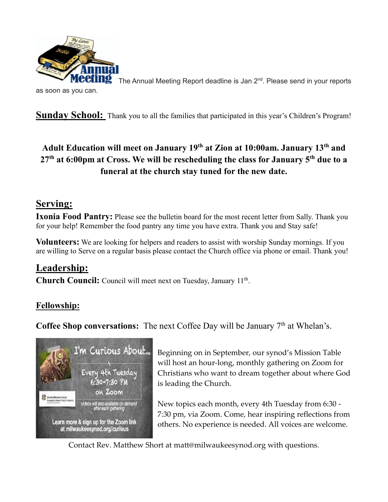

The Annual Meeting Report deadline is Jan 2<sup>nd</sup>. Please send in your reports

as soon as you can.

**Sunday School:** Thank you to all the families that participated in this year's Children's Program!

### **Adult Education will meet on January 19th at Zion at 10:00am. January 13th and 27th at 6:00pm at Cross. We will be rescheduling the class for January 5th due to a funeral at the church stay tuned for the new date.**

#### **Serving:**

**Ixonia Food Pantry:** Please see the bulletin board for the most recent letter from Sally. Thank you for your help! Remember the food pantry any time you have extra. Thank you and Stay safe!

**Volunteers:** We are looking for helpers and readers to assist with worship Sunday mornings. If you are willing to Serve on a regular basis please contact the Church office via phone or email. Thank you!

### **Leadership:**

Church Council: Council will meet next on Tuesday, January 11<sup>th</sup>.

### **Fellowship:**

**Coffee Shop conversations:** The next Coffee Day will be January 7<sup>th</sup> at Whelan's.



Beginning on in September, our synod's Mission Table will host an hour-long, monthly gathering on Zoom for Christians who want to dream together about where God is leading the Church.

New topics each month, every 4th Tuesday from 6:30 - 7:30 pm, via Zoom. Come, hear inspiring reflections from others. No experience is needed. All voices are welcome.

Contact Rev. Matthew Short at matt@milwaukeesynod.org with questions.